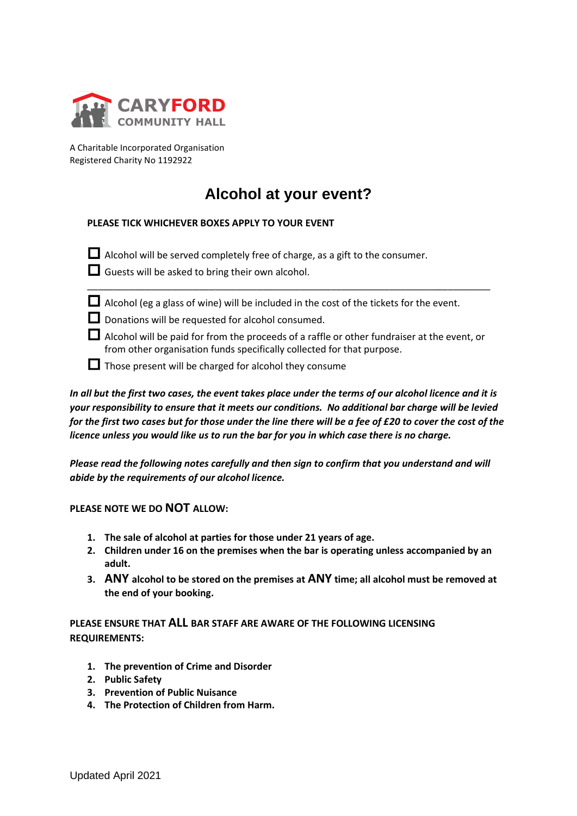

A Charitable Incorporated Organisation Registered Charity No 1192922

## **Alcohol at your event?**

## **PLEASE TICK WHICHEVER BOXES APPLY TO YOUR EVENT**

 $\Box$  Alcohol will be served completely free of charge, as a gift to the consumer.

 $\Box$  Guests will be asked to bring their own alcohol.



 $\Box$  Alcohol (eg a glass of wine) will be included in the cost of the tickets for the event.

\_\_\_\_\_\_\_\_\_\_\_\_\_\_\_\_\_\_\_\_\_\_\_\_\_\_\_\_\_\_\_\_\_\_\_\_\_\_\_\_\_\_\_\_\_\_\_\_\_\_\_\_\_\_\_\_\_\_\_\_\_\_\_\_\_\_\_\_\_\_\_\_\_\_\_\_

- Donations will be requested for alcohol consumed.
- $\Box$  Alcohol will be paid for from the proceeds of a raffle or other fundraiser at the event, or from other organisation funds specifically collected for that purpose.
- $\Box$  Those present will be charged for alcohol they consume

**EXAMPLATE CONSTANT CONSTANT CONSTANT**<br>
A Charitable Incorporated Organisation<br>
Registered Charity No 1192922<br> **Alcohol at PLEASE TICK WHICHEVER BOXES APPLY TO YC**<br> **D** Alcohol will be served completely free of **C**<br> **C** Gu *In all but the first two cases, the event takes place under the terms of our alcohol licence and it is your responsibility to ensure that it meets our conditions. No additional bar charge will be levied for the first two cases but for those under the line there will be a fee of £20 to cover the cost of the licence unless you would like us to run the bar for you in which case there is no charge.*

*Please read the following notes carefully and then sign to confirm that you understand and will abide by the requirements of our alcohol licence.* 

**PLEASE NOTE WE DO NOT ALLOW:**

- **1. The sale of alcohol at parties for those under 21 years of age.**
- **2. Children under 16 on the premises when the bar is operating unless accompanied by an adult.**
- **3. ANY alcohol to be stored on the premises at ANY time; all alcohol must be removed at the end of your booking.**

## **PLEASE ENSURE THAT ALL BAR STAFF ARE AWARE OF THE FOLLOWING LICENSING REQUIREMENTS:**

- **1. The prevention of Crime and Disorder**
- **2. Public Safety**
- **3. Prevention of Public Nuisance**
- **4. The Protection of Children from Harm.**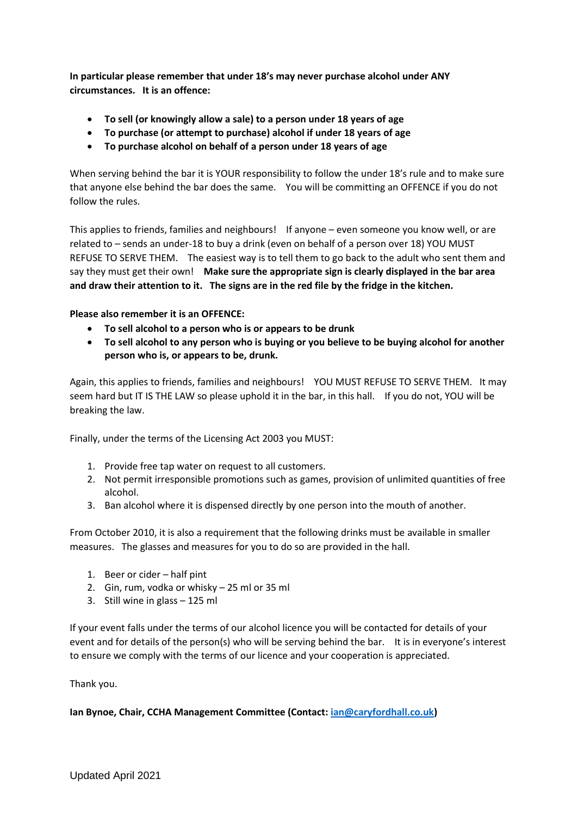**In particular please remember that under 18's may never purchase alcohol under ANY circumstances. It is an offence:**

- **To sell (or knowingly allow a sale) to a person under 18 years of age**
- **To purchase (or attempt to purchase) alcohol if under 18 years of age**
- **To purchase alcohol on behalf of a person under 18 years of age**

When serving behind the bar it is YOUR responsibility to follow the under 18's rule and to make sure that anyone else behind the bar does the same. You will be committing an OFFENCE if you do not follow the rules.

This applies to friends, families and neighbours! If anyone – even someone you know well, or are related to – sends an under-18 to buy a drink (even on behalf of a person over 18) YOU MUST REFUSE TO SERVE THEM. The easiest way is to tell them to go back to the adult who sent them and say they must get their own! **Make sure the appropriate sign is clearly displayed in the bar area and draw their attention to it. The signs are in the red file by the fridge in the kitchen.**

**Please also remember it is an OFFENCE:**

- **To sell alcohol to a person who is or appears to be drunk**
- **To sell alcohol to any person who is buying or you believe to be buying alcohol for another person who is, or appears to be, drunk.**

Again, this applies to friends, families and neighbours! YOU MUST REFUSE TO SERVE THEM. It may seem hard but IT IS THE LAW so please uphold it in the bar, in this hall. If you do not, YOU will be breaking the law.

Finally, under the terms of the Licensing Act 2003 you MUST:

- 1. Provide free tap water on request to all customers.
- 2. Not permit irresponsible promotions such as games, provision of unlimited quantities of free alcohol.
- 3. Ban alcohol where it is dispensed directly by one person into the mouth of another.

From October 2010, it is also a requirement that the following drinks must be available in smaller measures. The glasses and measures for you to do so are provided in the hall.

- 1. Beer or cider half pint
- 2. Gin, rum, vodka or whisky 25 ml or 35 ml
- 3. Still wine in glass 125 ml

If your event falls under the terms of our alcohol licence you will be contacted for details of your event and for details of the person(s) who will be serving behind the bar. It is in everyone's interest to ensure we comply with the terms of our licence and your cooperation is appreciated.

Thank you.

**Ian Bynoe, Chair, CCHA Management Committee (Contact: [ian@caryfordhall.co.uk\)](mailto:ian@caryfordhall.co.uk)**